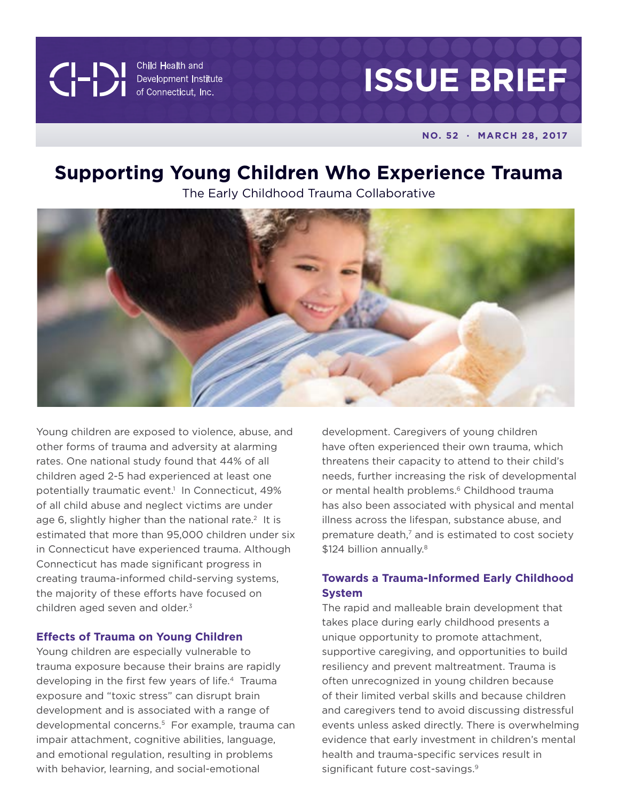**CIPITION** Child Health and<br>Development Institute<br>of Connecticut, Inc.

# **ISSUE BRIEF**

**NO. 52 · MARCH 28, 2017**

# **Supporting Young Children Who Experience Trauma**

The Early Childhood Trauma Collaborative



Young children are exposed to violence, abuse, and other forms of trauma and adversity at alarming rates. One national study found that 44% of all children aged 2-5 had experienced at least one potentially traumatic event.<sup>1</sup> In Connecticut, 49% of all child abuse and neglect victims are under age 6, slightly higher than the national rate.<sup>2</sup> It is estimated that more than 95,000 children under six in Connecticut have experienced trauma. Although Connecticut has made significant progress in creating trauma-informed child-serving systems, the majority of these efforts have focused on children aged seven and older.<sup>3</sup>

#### **Effects of Trauma on Young Children**

Young children are especially vulnerable to trauma exposure because their brains are rapidly developing in the first few years of life.<sup>4</sup> Trauma exposure and "toxic stress" can disrupt brain development and is associated with a range of developmental concerns.5 For example, trauma can impair attachment, cognitive abilities, language, and emotional regulation, resulting in problems with behavior, learning, and social-emotional

development. Caregivers of young children have often experienced their own trauma, which threatens their capacity to attend to their child's needs, further increasing the risk of developmental or mental health problems.<sup>6</sup> Childhood trauma has also been associated with physical and mental illness across the lifespan, substance abuse, and premature death,<sup>7</sup> and is estimated to cost society \$124 billion annually.<sup>8</sup>

# **Towards a Trauma-Informed Early Childhood System**

The rapid and malleable brain development that takes place during early childhood presents a unique opportunity to promote attachment, supportive caregiving, and opportunities to build resiliency and prevent maltreatment. Trauma is often unrecognized in young children because of their limited verbal skills and because children and caregivers tend to avoid discussing distressful events unless asked directly. There is overwhelming evidence that early investment in children's mental health and trauma-specific services result in significant future cost-savings.<sup>9</sup>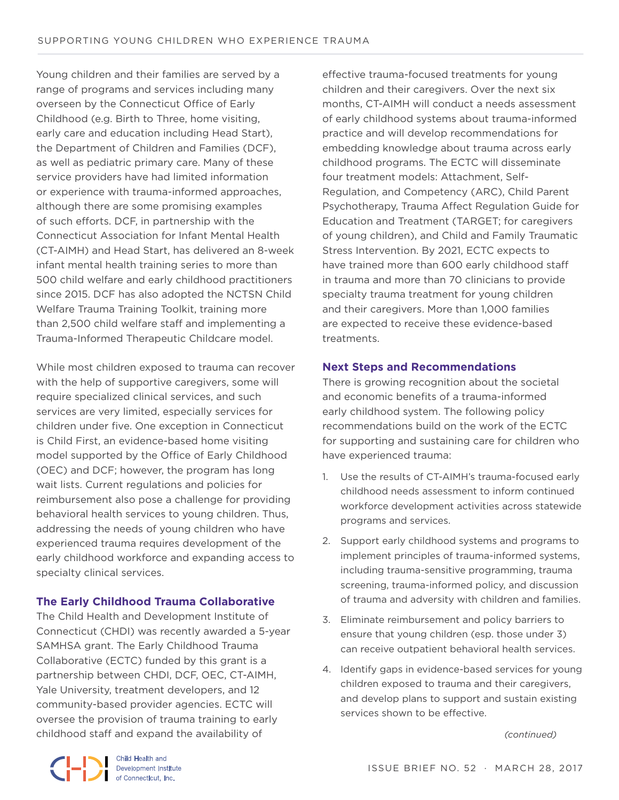Young children and their families are served by a range of programs and services including many overseen by the Connecticut Office of Early Childhood (e.g. Birth to Three, home visiting, early care and education including Head Start), the Department of Children and Families (DCF), as well as pediatric primary care. Many of these service providers have had limited information or experience with trauma-informed approaches, although there are some promising examples of such efforts. DCF, in partnership with the Connecticut Association for Infant Mental Health (CT-AIMH) and Head Start, has delivered an 8-week infant mental health training series to more than 500 child welfare and early childhood practitioners since 2015. DCF has also adopted the NCTSN Child Welfare Trauma Training Toolkit, training more than 2,500 child welfare staff and implementing a Trauma-Informed Therapeutic Childcare model.

While most children exposed to trauma can recover with the help of supportive caregivers, some will require specialized clinical services, and such services are very limited, especially services for children under five. One exception in Connecticut is Child First, an evidence-based home visiting model supported by the Office of Early Childhood (OEC) and DCF; however, the program has long wait lists. Current regulations and policies for reimbursement also pose a challenge for providing behavioral health services to young children. Thus, addressing the needs of young children who have experienced trauma requires development of the early childhood workforce and expanding access to specialty clinical services.

### **The Early Childhood Trauma Collaborative**

The Child Health and Development Institute of Connecticut (CHDI) was recently awarded a 5-year SAMHSA grant. The Early Childhood Trauma Collaborative (ECTC) funded by this grant is a partnership between CHDI, DCF, OEC, CT-AIMH, Yale University, treatment developers, and 12 community-based provider agencies. ECTC will oversee the provision of trauma training to early childhood staff and expand the availability of

effective trauma-focused treatments for young children and their caregivers. Over the next six months, CT-AIMH will conduct a needs assessment of early childhood systems about trauma-informed practice and will develop recommendations for embedding knowledge about trauma across early childhood programs. The ECTC will disseminate four treatment models: Attachment, Self-Regulation, and Competency (ARC), Child Parent Psychotherapy, Trauma Affect Regulation Guide for Education and Treatment (TARGET; for caregivers of young children), and Child and Family Traumatic Stress Intervention. By 2021, ECTC expects to have trained more than 600 early childhood staff in trauma and more than 70 clinicians to provide specialty trauma treatment for young children and their caregivers. More than 1,000 families are expected to receive these evidence-based treatments.

#### **Next Steps and Recommendations**

There is growing recognition about the societal and economic benefits of a trauma-informed early childhood system. The following policy recommendations build on the work of the ECTC for supporting and sustaining care for children who have experienced trauma:

- 1. Use the results of CT-AIMH's trauma-focused early childhood needs assessment to inform continued workforce development activities across statewide programs and services.
- 2. Support early childhood systems and programs to implement principles of trauma-informed systems, including trauma-sensitive programming, trauma screening, trauma-informed policy, and discussion of trauma and adversity with children and families.
- 3. Eliminate reimbursement and policy barriers to ensure that young children (esp. those under 3) can receive outpatient behavioral health services.
- 4. Identify gaps in evidence-based services for young children exposed to trauma and their caregivers, and develop plans to support and sustain existing services shown to be effective.

 *(continued)*

Child Health and<br>Development Institute of Connecticut, Inc.